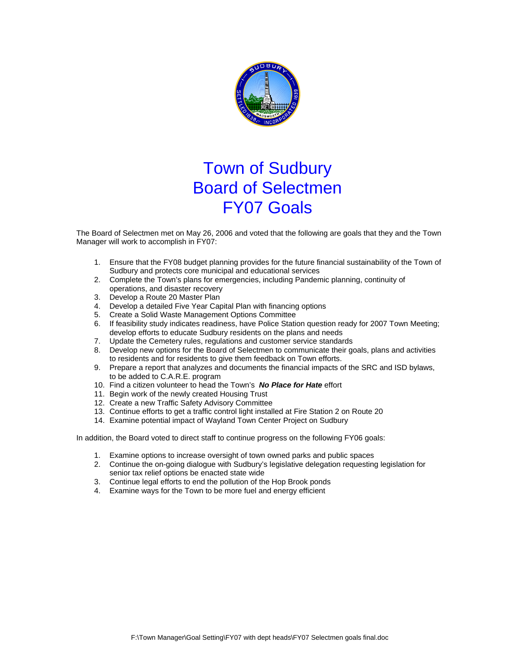

## Town of Sudbury Board of Selectmen FY07 Goals

The Board of Selectmen met on May 26, 2006 and voted that the following are goals that they and the Town Manager will work to accomplish in FY07:

- 1. Ensure that the FY08 budget planning provides for the future financial sustainability of the Town of Sudbury and protects core municipal and educational services
- 2. Complete the Town's plans for emergencies, including Pandemic planning, continuity of operations, and disaster recovery
- 3. Develop a Route 20 Master Plan
- 4. Develop a detailed Five Year Capital Plan with financing options
- 5. Create a Solid Waste Management Options Committee
- 6. If feasibility study indicates readiness, have Police Station question ready for 2007 Town Meeting; develop efforts to educate Sudbury residents on the plans and needs
- 7. Update the Cemetery rules, regulations and customer service standards
- 8. Develop new options for the Board of Selectmen to communicate their goals, plans and activities to residents and for residents to give them feedback on Town efforts.
- 9. Prepare a report that analyzes and documents the financial impacts of the SRC and ISD bylaws, to be added to C.A.R.E. program
- 10. Find a citizen volunteer to head the Town's *No Place for Hate* effort
- 11. Begin work of the newly created Housing Trust
- 12. Create a new Traffic Safety Advisory Committee
- 13. Continue efforts to get a traffic control light installed at Fire Station 2 on Route 20
- 14. Examine potential impact of Wayland Town Center Project on Sudbury

In addition, the Board voted to direct staff to continue progress on the following FY06 goals:

- 1. Examine options to increase oversight of town owned parks and public spaces
- 2. Continue the on-going dialogue with Sudbury's legislative delegation requesting legislation for senior tax relief options be enacted state wide
- 3. Continue legal efforts to end the pollution of the Hop Brook ponds
- 4. Examine ways for the Town to be more fuel and energy efficient